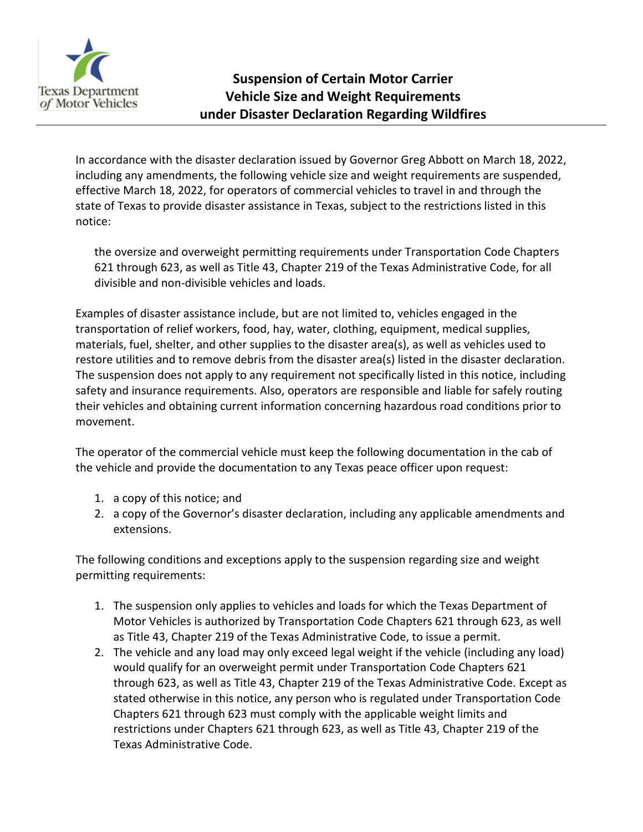

In accordance with the disaster declaration issued by Governor Greg Abbott on March 18, 2022, including any amendments, the following vehicle size and weight requirements are suspended, effective March 18, 2022, for operators of commercial vehicles to travel in and through the state of Texas to provide disaster assistance in Texas, subject to the restrictions listed in this notice:

the oversize and overweight permitting requirements under Transportation Code Chapters 621 through 623, as well as Title 43, Chapter 219 of the Texas Administrative Code, for all divisible and non-divisible vehicles and loads.

Examples of disaster assistance include, but are not limited to, vehicles engaged in the transportation of relief workers, food, hay, water, clothing, equipment, medical supplies, materials, fuel, shelter, and other supplies to the disaster area(s), as well as vehicles used to restore utilities and to remove debris from the disaster area(s) listed in the disaster declaration. The suspension does not apply to any requirement not specifically listed in this notice, including safety and insurance requirements. Also, operators are responsible and liable for safely routing their vehicles and obtaining current information concerning hazardous road conditions prior to movement.

The operator of the commercial vehicle must keep the following documentation in the cab of the vehicle and provide the documentation to any Texas peace officer upon request:

- 1. a copy of this notice; and
- 2. a copy of the Governor's disaster declaration, including any applicable amendments and extensions.

The following conditions and exceptions apply to the suspension regarding size and weight permitting requirements:

- 1. The suspension only applies to vehicles and loads for which the Texas Department of Motor Vehicles is authorized by Transportation Code Chapters 621 through 623, as well as Title 43, Chapter 219 of the Texas Administrative Code, to issue a permit.
- 2. The vehicle and any load may only exceed legal weight if the vehicle (including any load) would qualify for an overweight permit under Transportation Code Chapters 621 through 623, as well as Title 43, Chapter 219 of the Texas Administrative Code. Except as stated otherwise in this notice, any person who is regulated under Transportation Code Chapters 621 through 623 must comply with the applicable weight limits and restrictions under Chapters 621 through 623, as well as Title 43, Chapter 219 of the Texas Administrative Code.